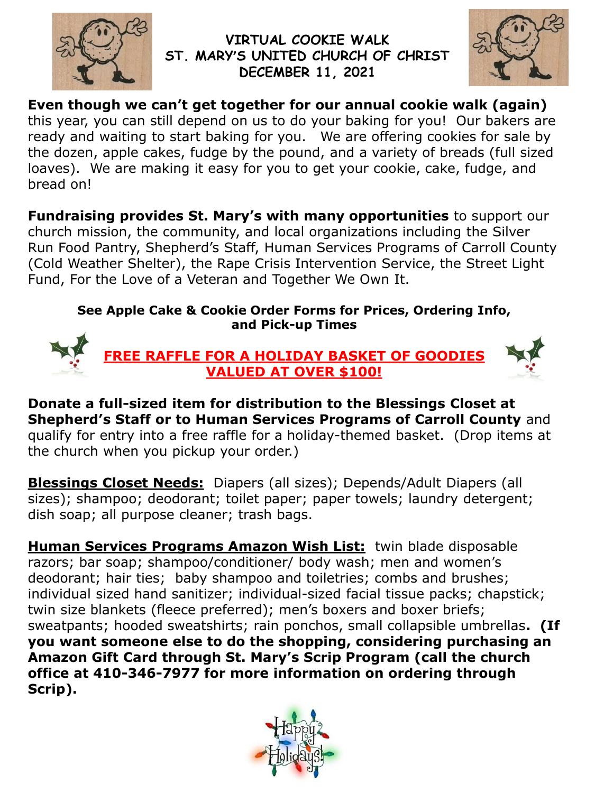

## **VIRTUAL COOKIE WALK ST. MARY'S UNITED CHURCH OF CHRIST DECEMBER 11, 2021**



**Even though we can't get together for our annual cookie walk (again)** this year, you can still depend on us to do your baking for you! Our bakers are ready and waiting to start baking for you. We are offering cookies for sale by the dozen, apple cakes, fudge by the pound, and a variety of breads (full sized loaves). We are making it easy for you to get your cookie, cake, fudge, and bread on!

**Fundraising provides St. Mary's with many opportunities** to support our church mission, the community, and local organizations including the Silver Run Food Pantry, Shepherd's Staff, Human Services Programs of Carroll County (Cold Weather Shelter), the Rape Crisis Intervention Service, the Street Light Fund, For the Love of a Veteran and Together We Own It.

## **See Apple Cake & Cookie Order Forms for Prices, Ordering Info, and Pick-up Times**



**Donate a full-sized item for distribution to the Blessings Closet at Shepherd's Staff or to Human Services Programs of Carroll County** and qualify for entry into a free raffle for a holiday-themed basket. (Drop items at the church when you pickup your order.)

**Blessings Closet Needs:** Diapers (all sizes); Depends/Adult Diapers (all sizes); shampoo; deodorant; toilet paper; paper towels; laundry detergent; dish soap; all purpose cleaner; trash bags.

**Human Services Programs Amazon Wish List:** twin blade disposable razors; bar soap; shampoo/conditioner/ body wash; men and women's deodorant; hair ties; baby shampoo and toiletries; combs and brushes; individual sized hand sanitizer; individual-sized facial tissue packs; chapstick; twin size blankets (fleece preferred); men's boxers and boxer briefs; sweatpants; hooded sweatshirts; rain ponchos, small collapsible umbrellas**. (If you want someone else to do the shopping, considering purchasing an Amazon Gift Card through St. Mary's Scrip Program (call the church office at 410-346-7977 for more information on ordering through Scrip).**

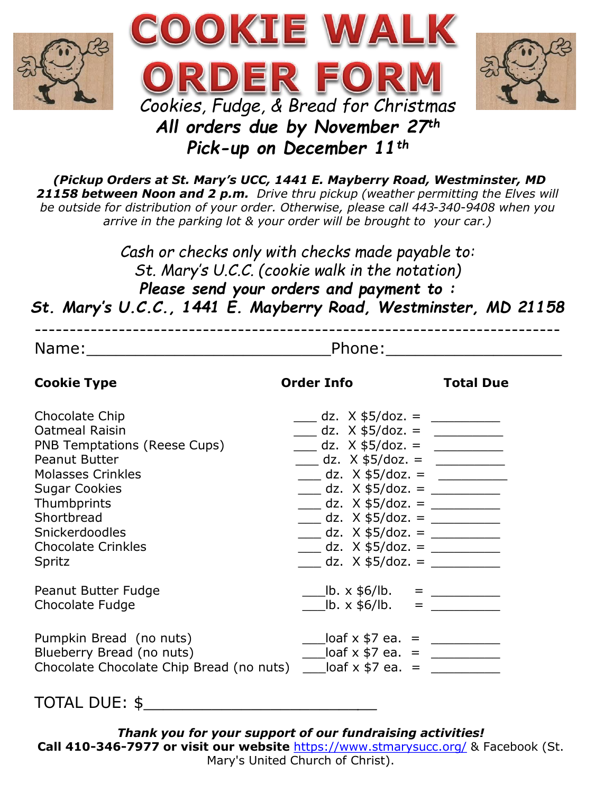





*(Pickup Orders at St. Mary's UCC, 1441 E. Mayberry Road, Westminster, MD 21158 between Noon and 2 p.m. Drive thru pickup (weather permitting the Elves will be outside for distribution of your order. Otherwise, please call 443-340-9408 when you arrive in the parking lot & your order will be brought to your car.)* 

*Cash or checks only with checks made payable to: St. Mary's U.C.C. (cookie walk in the notation) Please send your orders and payment to : St. Mary's U.C.C., 1441 E. Mayberry Road, Westminster, MD 21158*

| <b>Cookie Type</b>                                                           | <b>Order Info</b>                                                      | <b>Total Due</b> |
|------------------------------------------------------------------------------|------------------------------------------------------------------------|------------------|
| Chocolate Chip                                                               | $\frac{1}{2}$ dz. X \$5/doz. = $\frac{1}{2}$                           |                  |
| <b>Oatmeal Raisin</b>                                                        | $\frac{1}{2}$ dz. X \$5/doz. =                                         |                  |
| PNB Temptations (Reese Cups)                                                 | dz. $X $5/doz. =$                                                      |                  |
| Peanut Butter                                                                | $\frac{1}{2}$ dz. X \$5/doz. =                                         |                  |
| <b>Molasses Crinkles</b>                                                     | $\frac{1}{2}$ dz. X \$5/doz. = $\frac{1}{2}$                           |                  |
| <b>Sugar Cookies</b>                                                         | $\frac{1}{2}$ dz. X \$5/doz. = $\frac{1}{2}$                           |                  |
| Thumbprints<br>Shortbread                                                    | $\frac{1}{2}$ dz. X \$5/doz. = $\frac{1}{2}$                           |                  |
| Snickerdoodles                                                               | $\frac{1}{\sqrt{2}}$ dz. X \$5/doz. = $\frac{1}{\sqrt{2}}$             |                  |
| <b>Chocolate Crinkles</b>                                                    | $\frac{1}{2}$ dz. X \$5/doz. = $\frac{1}{2}$                           |                  |
| Spritz                                                                       | $\underline{\hspace{1cm}}$ dz. X \$5/doz. = $\underline{\hspace{1cm}}$ |                  |
|                                                                              |                                                                        |                  |
| Peanut Butter Fudge                                                          | $L =$ lb. x \$6/lb. = $L =$                                            |                  |
| Chocolate Fudge                                                              | $\frac{1}{2}$ lb. x \$6/lb. =                                          |                  |
| Pumpkin Bread (no nuts)                                                      | $\frac{1}{2}$ loaf x \$7 ea. = $\frac{1}{2}$                           |                  |
| Blueberry Bread (no nuts)                                                    | $\frac{1}{2}$ loaf x \$7 ea. = $\frac{1}{2}$                           |                  |
| Chocolate Chocolate Chip Bread (no nuts) $\qquad$ loaf x \$7 ea. = _________ |                                                                        |                  |
|                                                                              |                                                                        |                  |
|                                                                              |                                                                        |                  |

TOTAL DUE: \$\_\_\_\_\_\_\_\_\_\_\_\_\_\_\_\_\_\_\_\_\_\_*\_\_*

*Thank you for your support of our fundraising activities!* **Call 410-346-7977 or visit our website** <https://www.stmarysucc.org/> & Facebook (St. Mary's United Church of Christ).